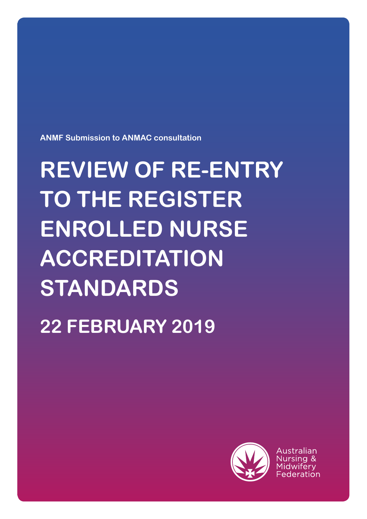

Australian

# **REVIEW OF RE-ENTRY TO THE REGISTER ENROLLED NURSE ACCREDITATION STANDARDS 22 FEBRUARY 2019**

**ANMF Submission to ANMAC consultation**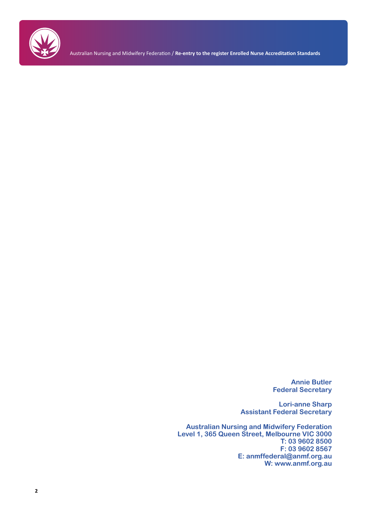

Australian Nursing and Midwifery Federation / **Re-entry to the register Enrolled Nurse Accreditation Standards**

**Annie Butler Federal Secretary**

**Lori-anne Sharp Assistant Federal Secretary**

**Australian Nursing and Midwifery Federation Level 1, 365 Queen Street, Melbourne VIC 3000 T: 03 9602 8500 F: 03 9602 8567 E: anmffederal@anmf.org.au W: www.anmf.org.au**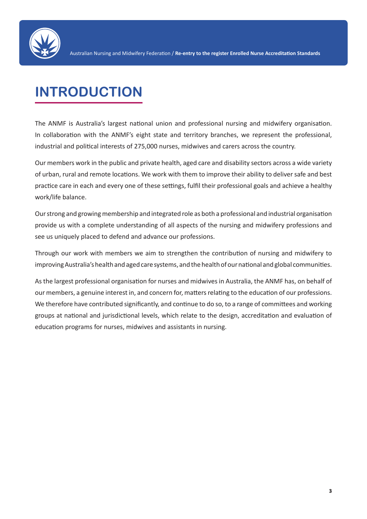

## **INTRODUCTION**

The ANMF is Australia's largest national union and professional nursing and midwifery organisation. In collaboration with the ANMF's eight state and territory branches, we represent the professional, industrial and political interests of 275,000 nurses, midwives and carers across the country.

Our members work in the public and private health, aged care and disability sectors across a wide variety of urban, rural and remote locations. We work with them to improve their ability to deliver safe and best practice care in each and every one of these settings, fulfil their professional goals and achieve a healthy work/life balance.

Our strong and growing membership and integrated role as both a professional and industrial organisation provide us with a complete understanding of all aspects of the nursing and midwifery professions and see us uniquely placed to defend and advance our professions.

Through our work with members we aim to strengthen the contribution of nursing and midwifery to improving Australia's health and aged care systems, and the health of our national and global communities.

As the largest professional organisation for nurses and midwives in Australia, the ANMF has, on behalf of our members, a genuine interest in, and concern for, matters relating to the education of our professions. We therefore have contributed significantly, and continue to do so, to a range of committees and working groups at national and jurisdictional levels, which relate to the design, accreditation and evaluation of education programs for nurses, midwives and assistants in nursing.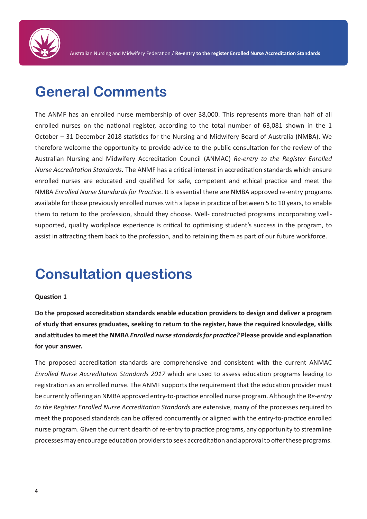

### **General Comments**

The ANMF has an enrolled nurse membership of over 38,000. This represents more than half of all enrolled nurses on the national register, according to the total number of 63,081 shown in the 1 October – 31 December 2018 statistics for the Nursing and Midwifery Board of Australia (NMBA). We therefore welcome the opportunity to provide advice to the public consultation for the review of the Australian Nursing and Midwifery Accreditation Council (ANMAC) *Re-entry to the Register Enrolled Nurse Accreditation Standards.* The ANMF has a critical interest in accreditation standards which ensure enrolled nurses are educated and qualified for safe, competent and ethical practice and meet the NMBA *Enrolled Nurse Standards for Practice*. It is essential there are NMBA approved re-entry programs available for those previously enrolled nurses with a lapse in practice of between 5 to 10 years, to enable them to return to the profession, should they choose. Well- constructed programs incorporating wellsupported, quality workplace experience is critical to optimising student's success in the program, to assist in attracting them back to the profession, and to retaining them as part of our future workforce.

### **Consultation questions**

#### **Question 1**

**Do the proposed accreditation standards enable education providers to design and deliver a program of study that ensures graduates, seeking to return to the register, have the required knowledge, skills and attitudes to meet the NMBA** *Enrolled nurse standards for practice?* **Please provide and explanation for your answer.**

The proposed accreditation standards are comprehensive and consistent with the current ANMAC *Enrolled Nurse Accreditation Standards 2017* which are used to assess education programs leading to registration as an enrolled nurse. The ANMF supports the requirement that the education provider must be currently offering an NMBA approved entry-to-practice enrolled nurse program. Although the R*e-entry to the Register Enrolled Nurse Accreditation Standards* are extensive, many of the processes required to meet the proposed standards can be offered concurrently or aligned with the entry-to-practice enrolled nurse program. Given the current dearth of re-entry to practice programs, any opportunity to streamline processes may encourage education providers to seek accreditation and approval to offer these programs.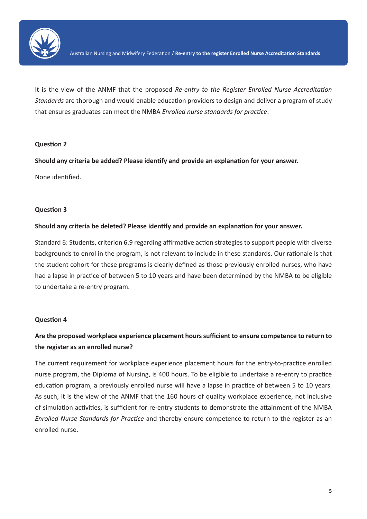

It is the view of the ANMF that the proposed *Re-entry to the Register Enrolled Nurse Accreditation Standards* are thorough and would enable education providers to design and deliver a program of study that ensures graduates can meet the NMBA *Enrolled nurse standards for practice*.

#### **Question 2**

**Should any criteria be added? Please identify and provide an explanation for your answer.**

None identified.

#### **Question 3**

#### **Should any criteria be deleted? Please identify and provide an explanation for your answer.**

Standard 6: Students, criterion 6.9 regarding affirmative action strategies to support people with diverse backgrounds to enrol in the program, is not relevant to include in these standards. Our rationale is that the student cohort for these programs is clearly defined as those previously enrolled nurses, who have had a lapse in practice of between 5 to 10 years and have been determined by the NMBA to be eligible to undertake a re-entry program.

#### **Question 4**

#### **Are the proposed workplace experience placement hours sufficient to ensure competence to return to the register as an enrolled nurse?**

The current requirement for workplace experience placement hours for the entry-to-practice enrolled nurse program, the Diploma of Nursing, is 400 hours. To be eligible to undertake a re-entry to practice education program, a previously enrolled nurse will have a lapse in practice of between 5 to 10 years. As such, it is the view of the ANMF that the 160 hours of quality workplace experience, not inclusive of simulation activities, is sufficient for re-entry students to demonstrate the attainment of the NMBA *Enrolled Nurse Standards for Practice* and thereby ensure competence to return to the register as an enrolled nurse.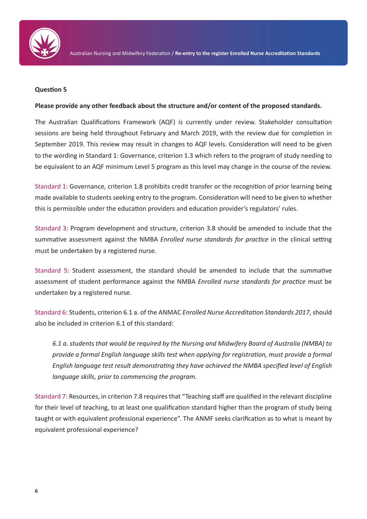

#### **Question 5**

#### **Please provide any other feedback about the structure and/or content of the proposed standards.**

The Australian Qualifications Framework (AQF) is currently under review. Stakeholder consultation sessions are being held throughout February and March 2019, with the review due for completion in September 2019. This review may result in changes to AQF levels. Consideration will need to be given to the wording in Standard 1: Governance, criterion 1.3 which refers to the program of study needing to be equivalent to an AQF minimum Level 5 program as this level may change in the course of the review.

Standard 1: Governance, criterion 1.8 prohibits credit transfer or the recognition of prior learning being made available to students seeking entry to the program. Consideration will need to be given to whether this is permissible under the education providers and education provider's regulators' rules.

Standard 3: Program development and structure, criterion 3.8 should be amended to include that the summative assessment against the NMBA *Enrolled nurse standards for practice* in the clinical setting must be undertaken by a registered nurse.

Standard 5: Student assessment, the standard should be amended to include that the summative assessment of student performance against the NMBA *Enrolled nurse standards for practice* must be undertaken by a registered nurse.

Standard 6: Students, criterion 6.1 a. of the ANMAC *Enrolled Nurse Accreditation Standards 2017*, should also be included in criterion 6.1 of this standard:

*6.1 a. students that would be required by the Nursing and Midwifery Board of Australia (NMBA) to provide a formal English language skills test when applying for registration, must provide a formal English language test result demonstrating they have achieved the NMBA specified level of English language skills, prior to commencing the program.* 

Standard 7: Resources, in criterion 7.8 requires that "Teaching staff are qualified in the relevant discipline for their level of teaching, to at least one qualification standard higher than the program of study being taught or with equivalent professional experience". The ANMF seeks clarification as to what is meant by equivalent professional experience?